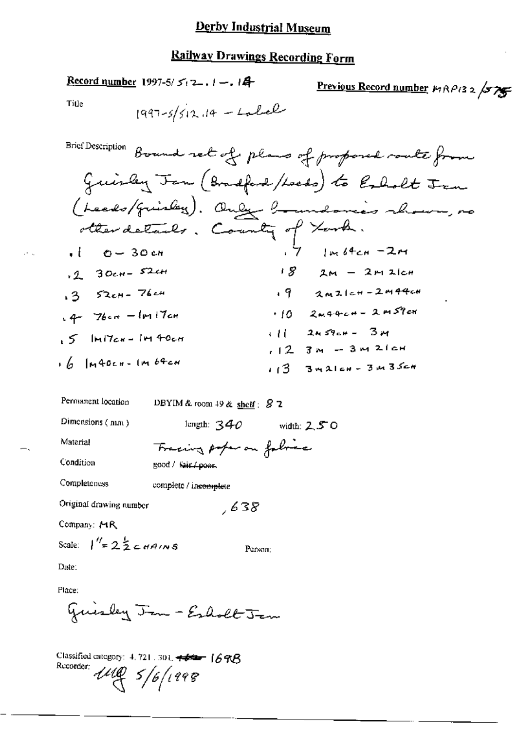## **Railway Drawings Recording Form**

## Record number 1997-5/ $5/2$ ,  $1 - 14$

$$
\underline{\text{Previous Record number}} \text{ PPRP} \text{ (3.2)} \times \text{PSF}
$$

Title

$$
1997 - 5/512.14 - Lalel
$$

Permanent location DBYIM & room  $49$  & shelf :  $8$  2

Dimensions (nim)

length:  $340$  width:  $250$ 

Material

Condition

Tracing paper on follows good / fair / poor

Completeness

complete / incomplete

Original drawing number

Company: MR

Scale:  $1'' = 2\frac{1}{2}$   $\leq$   $\left| \frac{1}{2} \right|$ 

Person;

 $638$ 

Date:

Place:

Guisley Jan - Esholt Jan

Classified category: 4, 721, 301, +44 [698 Recorder  $\mu$   $\frac{1}{2}$  5/6/1998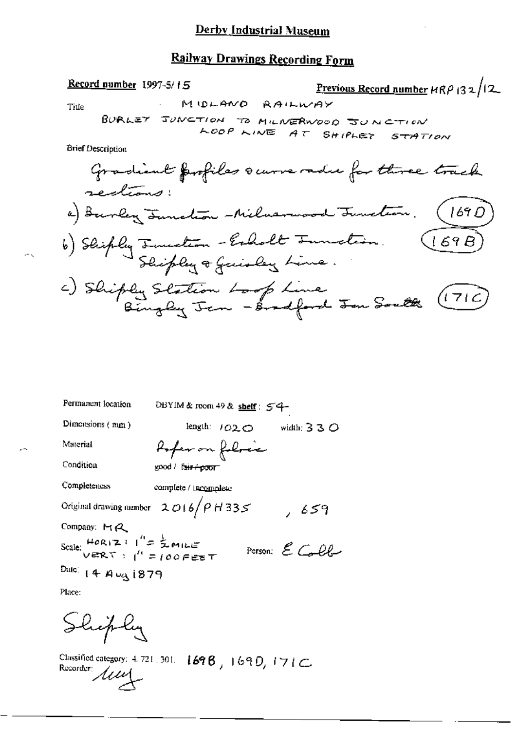# Railway Drawings Recording Form

Record number 1997-5/15

Previous Record number 
$$
HR\beta
$$
  $13 \times 12$ 

Ī.

Title

**Brief Description** 

Permanent location

\nDEFIM & room 49 & short: 54

\nDimensions (mm)

\nMasterial

\nCondition

\nCondition

\nCompleteness

\nComplete/ incomplete

\nOriginal drawing number 2016/PH335

\nCompar: MQ

\nScale: 
$$
\frac{\mu_0 R_1 Z_1}{1} \int_{-\infty}^{\infty} \frac{1}{\sum_{i=1}^{n} M_i L_i E}
$$

\nScale:  $\frac{\mu_0 R_1 Z_1}{1} \int_{-\infty}^{\infty} \frac{1}{\sum_{i=1}^{n} M_i L_i E}$ 

\nDate: 14 A uq 1879

\nPlace:

Shiply

Classified category: 4, 721, 301.  $1698$ , 1690, 171C. Recorder / 114

 $\sigma_{\rm N}$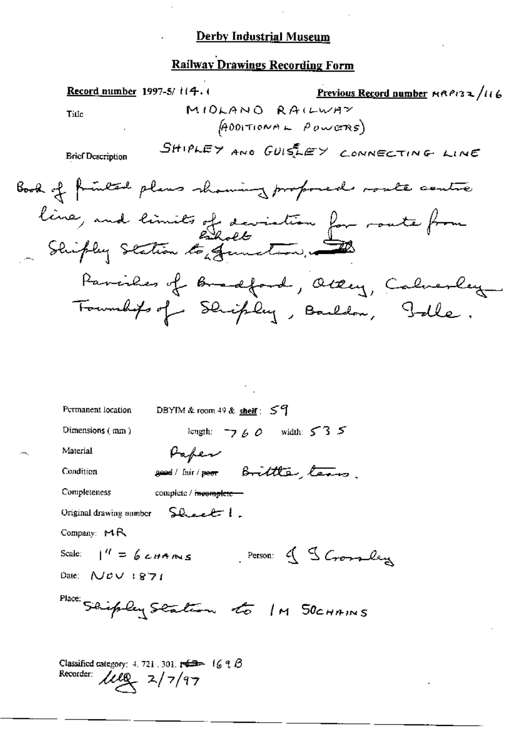## **Railway Drawings Recording Form**

Record number 1997-5/ 1(4.1) Previous Record number MRP132/116 MIDLANO RAILWAY Title  $(400)$ TIONAL POWERS) SHIPLEY AND GUISLEY CONNECTING LINE **Brief Description** Book of finited plans showing proposed soute centre line, and limits of deviation for route from Shipley Station to genetion, Parciles of Bradford, Ottery, Calverley Townships of Shipley, Baildon, Isle. DBYIM & room 49 & shelf:  $59$ Permanent location length:  $\overline{\phantom{a}}$  6 0 width:  $\overline{\phantom{a}}$  3 5 Dimensions (mm) Paper Material good/fair/poor Brittle, teams. Condition Completeness complete / recomplete-Sheet 1. Original drawing number Company:  $MAR$ Person: J S Grossley  $1^{\prime\prime} = 6cm$ Scale: Date:  $Nov$  1871 Place: Seipley Seation to IM 50 CHAINS Classified category: 4, 721, 301,  $\sqrt{2}$  (6, 9,  $\beta$ ) Recorder:  $\text{100}$   $2/7/97$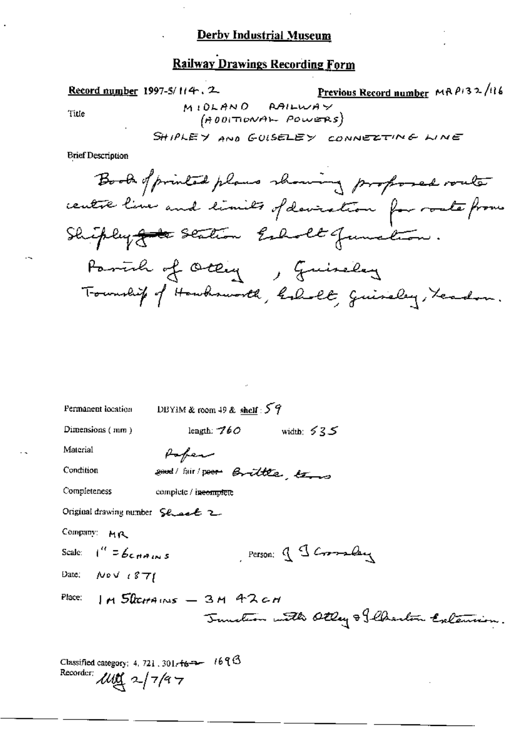## Railway Drawings Recording Form

Record number 1997-5/114.2

Previous Record number MRP132/16

Title

 $M10LAMO$  RAILWAY<br>(ADDITIONAL POWERS)

SHIPLEY AND GUISELEY CONNECTING LINE

**Brief Description** 

| DBYIM & room 49 & shelf : $59$<br>Permanent location     |
|----------------------------------------------------------|
| Dimensions (mm)<br>length: $760$<br>کے <i>5</i> xidub: ک |
| Material<br>Paper                                        |
| Condition<br>good/fair/poor Brittle, town                |
| Completeness<br>complete / incomplete                    |
| Original drawing number Semant 2                         |
| Company: MR                                              |
| Person: J S Crosslay<br>Scale: $1'' = 6cm + m s$         |
| Date: $N \cdot V \cdot S \cdot Tf$                       |
| Place: $Im Starkons = 3M 42cH$                           |
| Tourton with Otley & Pharlin Extension.                  |
|                                                          |
|                                                          |

Classified category: 4, 721, 301,  $+$ 6 $-$  16 $-$  16 $-$  16 Recorder:  $\mathcal{U}\mathcal{U}\mathcal{L}$  2  $/7/9$  7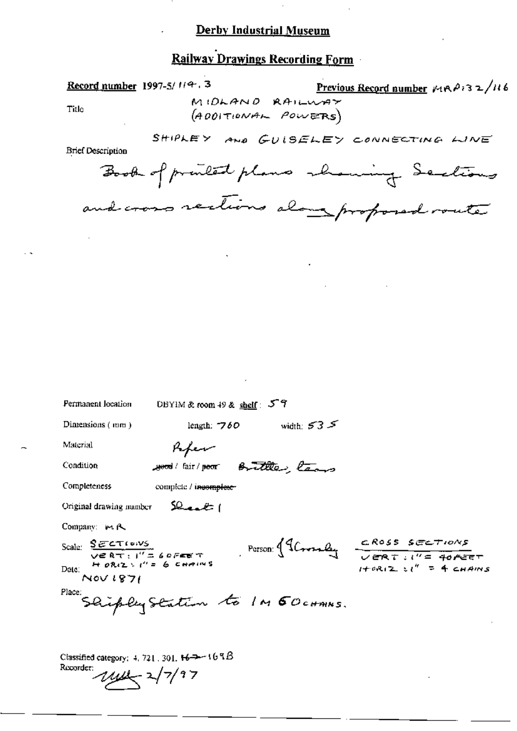## **Railway Drawings Recording Form**

MIDLAND RAILWAY

(ADDITIONAL POWERS)

SHIPLEY AND GUISELEY CONNECTING LINE

Book of prouted plans showing Sections

and cross rections along proposed route

Previous Record number  $\mu_1 \wedge \mu_2 \wedge \cdots \wedge \mu_6$ 

Permanent location DBYIM & room 49 & shelf:  $57$ Dimensions (mm) width:  $53 >$ length:  $760$ Material Rfer good lair poor Brittle, lans Condition Completeness complete / incomplete-المتعسدهكم Original drawing number Company: MR Scale:  $\frac{SETCT(0.05)}{VERT:1^{16} \times 60FEST}$ <br>Dolo: H OR(2): (' = 6 CHAINS Person  $\int$   $\int$   $\int$   $\frac{C \text{Ross} \text{Sections}}{\sqrt{\text{Rist}} \text{Sinter}}$ Date:  $NOVIB7I$ Place: Sliply Station to IM 60 commes.

Classified category: 4, 721, 301,  $+6 \rightarrow -167B$ Recorder:  $1/1/7$ 

Record number 1997-5/114, 3

Title

**Brief Description**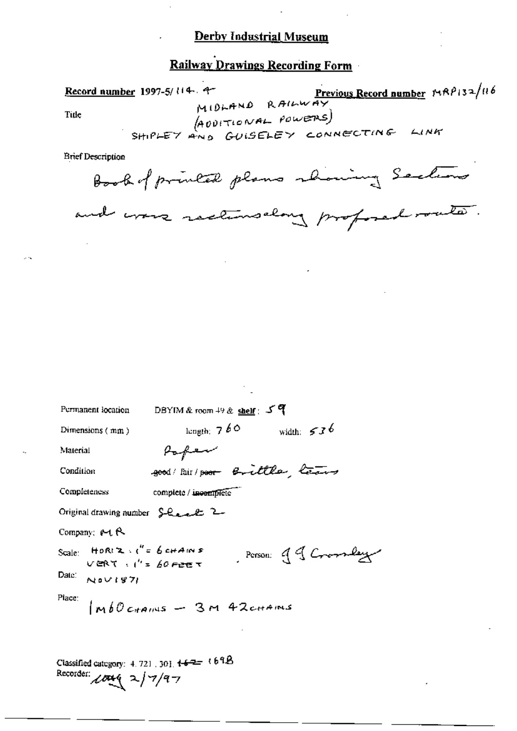Railway Drawings Recording Form

Frevious Record number MAP132/116<br>MIDLAND RAILWAY Record number 1997-5/114-4-FILM (ADDITIONAL POWERS)<br>SHIPLEY AND GUISELEY CONNECTING LINK Title

**Brief Description** 

Book of printed plans showing Sections

and were rectineday profesed router.

| Permanent location                                              | DBYIM & room 49 & shelf: 5 역 |                    |
|-----------------------------------------------------------------|------------------------------|--------------------|
| Dimensions $(mm)$                                               | length: $760$                | width: $536$       |
| Material                                                        | ستعصفهما                     |                    |
| Condition                                                       | good fair poor Brittle leave |                    |
| Completeness                                                    | complete / incomplete        |                    |
| Original drawing number $S - Q$ and $Z -$                       |                              |                    |
| Company: $M$ $R$                                                |                              |                    |
| Scale: HOREZ $e^u = 6$ chains<br>$V$ CRT $\cdot$ $I'$ = 60 FPET |                              | Person: 99 Cramber |
| Date:<br>N0V187I                                                |                              |                    |
| Place:<br>$m60$ crains - 3 m 42 chains                          |                              |                    |
|                                                                 |                              |                    |

Classified category: 4.721, 301, 1472 (69B Recorder:  $\cos\left(\frac{1}{2}\right)$  7/97